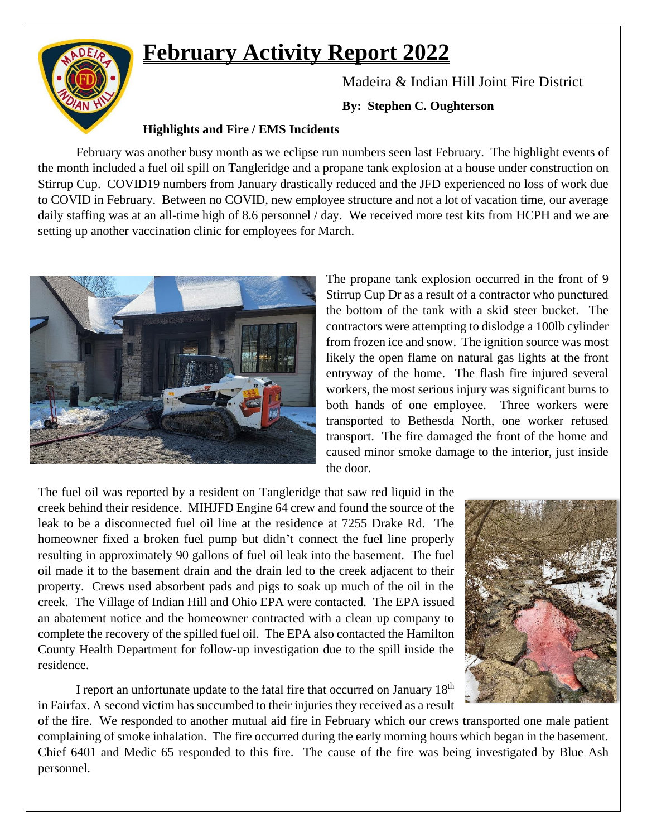# **February Activity Report 2022**



Madeira & Indian Hill Joint Fire District

**By: Stephen C. Oughterson**

#### **Highlights and Fire / EMS Incidents**

February was another busy month as we eclipse run numbers seen last February. The highlight events of the month included a fuel oil spill on Tangleridge and a propane tank explosion at a house under construction on Stirrup Cup. COVID19 numbers from January drastically reduced and the JFD experienced no loss of work due to COVID in February. Between no COVID, new employee structure and not a lot of vacation time, our average daily staffing was at an all-time high of 8.6 personnel / day. We received more test kits from HCPH and we are setting up another vaccination clinic for employees for March.



The propane tank explosion occurred in the front of 9 Stirrup Cup Dr as a result of a contractor who punctured the bottom of the tank with a skid steer bucket. The contractors were attempting to dislodge a 100lb cylinder from frozen ice and snow. The ignition source was most likely the open flame on natural gas lights at the front entryway of the home. The flash fire injured several workers, the most serious injury was significant burns to both hands of one employee. Three workers were transported to Bethesda North, one worker refused transport. The fire damaged the front of the home and caused minor smoke damage to the interior, just inside the door.

The fuel oil was reported by a resident on Tangleridge that saw red liquid in the creek behind their residence. MIHJFD Engine 64 crew and found the source of the leak to be a disconnected fuel oil line at the residence at 7255 Drake Rd. The homeowner fixed a broken fuel pump but didn't connect the fuel line properly resulting in approximately 90 gallons of fuel oil leak into the basement. The fuel oil made it to the basement drain and the drain led to the creek adjacent to their property. Crews used absorbent pads and pigs to soak up much of the oil in the creek. The Village of Indian Hill and Ohio EPA were contacted. The EPA issued an abatement notice and the homeowner contracted with a clean up company to complete the recovery of the spilled fuel oil. The EPA also contacted the Hamilton County Health Department for follow-up investigation due to the spill inside the residence.

I report an unfortunate update to the fatal fire that occurred on January 18th in Fairfax. A second victim has succumbed to their injuries they received as a result



of the fire. We responded to another mutual aid fire in February which our crews transported one male patient complaining of smoke inhalation. The fire occurred during the early morning hours which began in the basement. Chief 6401 and Medic 65 responded to this fire. The cause of the fire was being investigated by Blue Ash personnel.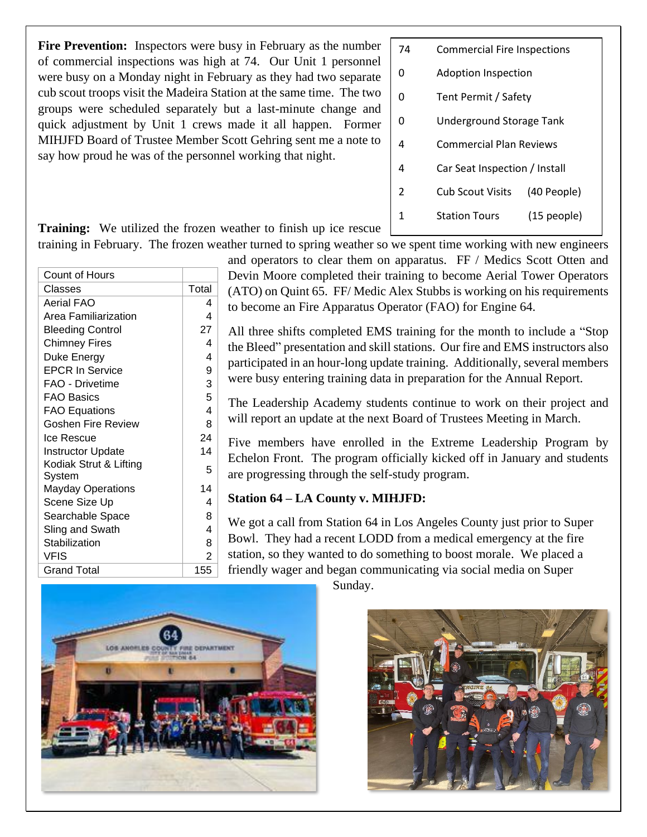**Fire Prevention:** Inspectors were busy in February as the number of commercial inspections was high at 74. Our Unit 1 personnel were busy on a Monday night in February as they had two separate cub scout troops visit the Madeira Station at the same time. The two groups were scheduled separately but a last-minute change and quick adjustment by Unit 1 crews made it all happen. Former MIHJFD Board of Trustee Member Scott Gehring sent me a note to say how proud he was of the personnel working that night.

| 74 | <b>Commercial Fire Inspections</b> |               |  |
|----|------------------------------------|---------------|--|
| ŋ  | Adoption Inspection                |               |  |
| n  | Tent Permit / Safety               |               |  |
| ŋ  | Underground Storage Tank           |               |  |
| 4  | Commercial Plan Reviews            |               |  |
| 4  | Car Seat Inspection / Install      |               |  |
| 2  | Cub Scout Visits                   | (40 People)   |  |
| 1  | <b>Station Tours</b>               | $(15$ people) |  |
|    |                                    |               |  |

**Training:** We utilized the frozen weather to finish up ice rescue training in February. The frozen weather turned to spring weather so we spent time working with new engineers

| <b>Count of Hours</b>            |                |
|----------------------------------|----------------|
| Classes                          | Total          |
| Aerial FAO                       | 4              |
| Area Familiarization             | 4              |
| <b>Bleeding Control</b>          | 27             |
| <b>Chimney Fires</b>             | 4              |
| Duke Energy                      | 4              |
| <b>EPCR In Service</b>           | 9              |
| FAO - Drivetime                  | 3              |
| <b>FAO Basics</b>                | 5              |
| <b>FAO Equations</b>             | 4              |
| Goshen Fire Review               | 8              |
| Ice Rescue                       | 24             |
| <b>Instructor Update</b>         | 14             |
| Kodiak Strut & Lifting<br>System | 5              |
| <b>Mayday Operations</b>         | 14             |
| Scene Size Up                    | 4              |
| Searchable Space                 | 8              |
| Sling and Swath                  | 4              |
| Stabilization                    | 8              |
| VFIS                             | $\overline{2}$ |
| Grand Total                      | 155            |

and operators to clear them on apparatus. FF / Medics Scott Otten and Devin Moore completed their training to become Aerial Tower Operators (ATO) on Quint 65. FF/ Medic Alex Stubbs is working on his requirements to become an Fire Apparatus Operator (FAO) for Engine 64.

All three shifts completed EMS training for the month to include a "Stop the Bleed" presentation and skill stations. Our fire and EMS instructors also participated in an hour-long update training. Additionally, several members were busy entering training data in preparation for the Annual Report.

The Leadership Academy students continue to work on their project and will report an update at the next Board of Trustees Meeting in March.

Five members have enrolled in the Extreme Leadership Program by Echelon Front. The program officially kicked off in January and students are progressing through the self-study program.

#### **Station 64 – LA County v. MIHJFD:**

We got a call from Station 64 in Los Angeles County just prior to Super Bowl. They had a recent LODD from a medical emergency at the fire station, so they wanted to do something to boost morale. We placed a friendly wager and began communicating via social media on Super



Sunday.

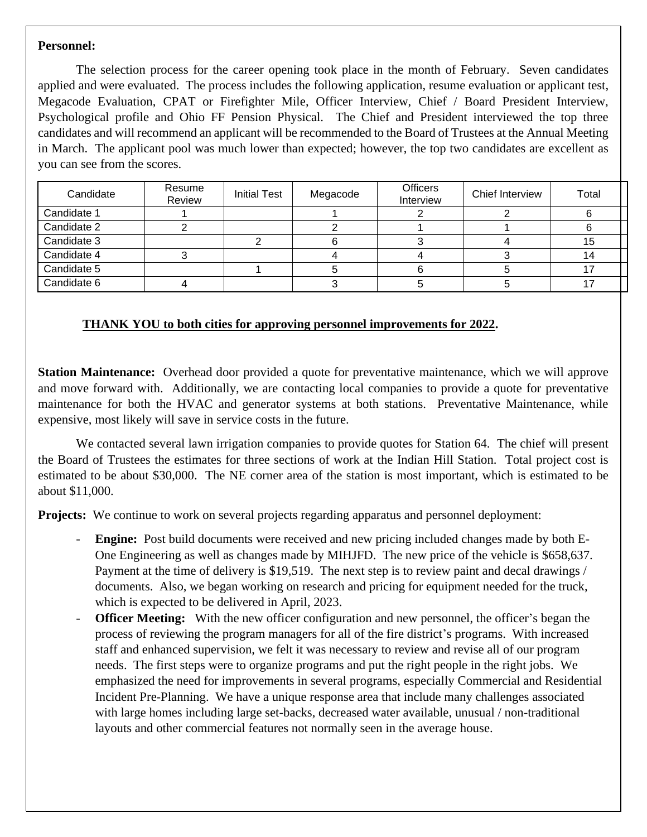#### **Personnel:**

The selection process for the career opening took place in the month of February. Seven candidates applied and were evaluated. The process includes the following application, resume evaluation or applicant test, Megacode Evaluation, CPAT or Firefighter Mile, Officer Interview, Chief / Board President Interview, Psychological profile and Ohio FF Pension Physical. The Chief and President interviewed the top three candidates and will recommend an applicant will be recommended to the Board of Trustees at the Annual Meeting in March. The applicant pool was much lower than expected; however, the top two candidates are excellent as you can see from the scores.

| Candidate   | Resume<br>Review | <b>Initial Test</b> | Megacode | <b>Officers</b><br>Interview | Chief Interview | Total |
|-------------|------------------|---------------------|----------|------------------------------|-----------------|-------|
| Candidate 1 |                  |                     |          |                              |                 |       |
| Candidate 2 |                  |                     |          |                              |                 |       |
| Candidate 3 |                  |                     |          |                              |                 | 15    |
| Candidate 4 |                  |                     |          |                              |                 | 14    |
| Candidate 5 |                  |                     |          |                              |                 |       |
| Candidate 6 |                  |                     |          |                              |                 |       |

#### **THANK YOU to both cities for approving personnel improvements for 2022.**

**Station Maintenance:** Overhead door provided a quote for preventative maintenance, which we will approve and move forward with. Additionally, we are contacting local companies to provide a quote for preventative maintenance for both the HVAC and generator systems at both stations. Preventative Maintenance, while expensive, most likely will save in service costs in the future.

We contacted several lawn irrigation companies to provide quotes for Station 64. The chief will present the Board of Trustees the estimates for three sections of work at the Indian Hill Station. Total project cost is estimated to be about \$30,000. The NE corner area of the station is most important, which is estimated to be about \$11,000.

**Projects:** We continue to work on several projects regarding apparatus and personnel deployment:

- **Engine:** Post build documents were received and new pricing included changes made by both E-One Engineering as well as changes made by MIHJFD. The new price of the vehicle is \$658,637. Payment at the time of delivery is \$19,519. The next step is to review paint and decal drawings / documents. Also, we began working on research and pricing for equipment needed for the truck, which is expected to be delivered in April, 2023.
- **Officer Meeting:** With the new officer configuration and new personnel, the officer's began the process of reviewing the program managers for all of the fire district's programs. With increased staff and enhanced supervision, we felt it was necessary to review and revise all of our program needs. The first steps were to organize programs and put the right people in the right jobs. We emphasized the need for improvements in several programs, especially Commercial and Residential Incident Pre-Planning. We have a unique response area that include many challenges associated with large homes including large set-backs, decreased water available, unusual / non-traditional layouts and other commercial features not normally seen in the average house.